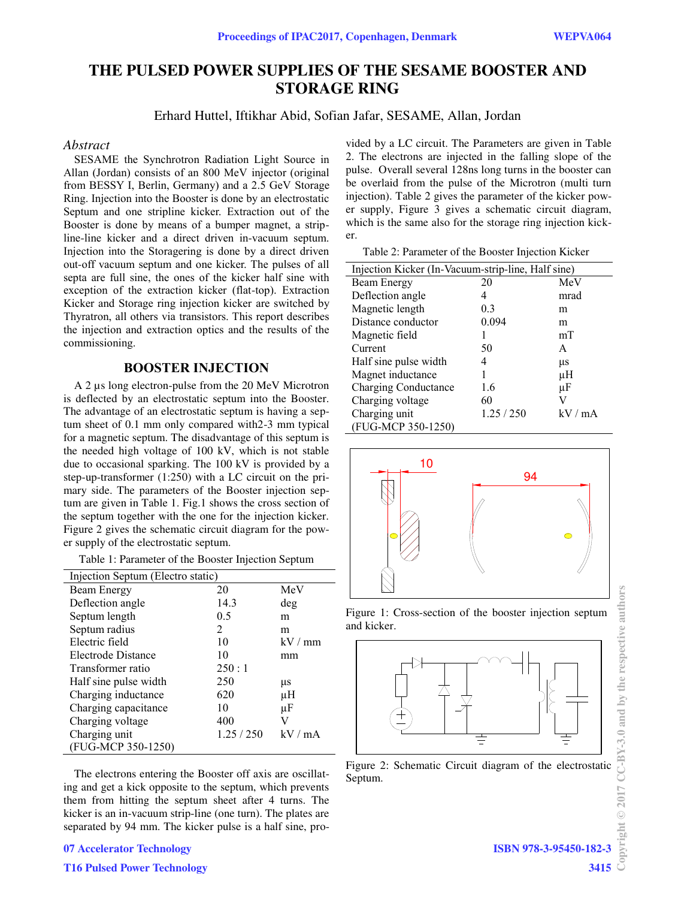# **THE PULSED POWER SUPPLIES OF THE SESAME BOOSTER AND STORAGE RING**

Erhard Huttel, Iftikhar Abid, Sofian Jafar, SESAME, Allan, Jordan

### *Abstract*

SESAME the Synchrotron Radiation Light Source in Allan (Jordan) consists of an 800 MeV injector (original from BESSY I, Berlin, Germany) and a 2.5 GeV Storage Ring. Injection into the Booster is done by an electrostatic Septum and one stripline kicker. Extraction out of the Booster is done by means of a bumper magnet, a stripline-line kicker and a direct driven in-vacuum septum. Injection into the Storagering is done by a direct driven out-off vacuum septum and one kicker. The pulses of all septa are full sine, the ones of the kicker half sine with exception of the extraction kicker (flat-top). Extraction Kicker and Storage ring injection kicker are switched by Thyratron, all others via transistors. This report describes the injection and extraction optics and the results of the commissioning.

## **BOOSTER INJECTION**

A 2 µs long electron-pulse from the 20 MeV Microtron is deflected by an electrostatic septum into the Booster. The advantage of an electrostatic septum is having a septum sheet of 0.1 mm only compared with2-3 mm typical for a magnetic septum. The disadvantage of this septum is the needed high voltage of 100 kV, which is not stable due to occasional sparking. The 100 kV is provided by a step-up-transformer (1:250) with a LC circuit on the primary side. The parameters of the Booster injection septum are given in Table 1. Fig.1 shows the cross section of the septum together with the one for the injection kicker. Figure 2 gives the schematic circuit diagram for the power supply of the electrostatic septum.

Table 1: Parameter of the Booster Injection Septum

| Injection Septum (Electro static) |          |       |
|-----------------------------------|----------|-------|
| Beam Energy                       | 20       | MeV   |
| Deflection angle                  | 14.3     | deg   |
| Septum length                     | 0.5      | m     |
| Septum radius                     | 2        | m     |
| Electric field                    | 10       | kV/mm |
| Electrode Distance                | 10       | mm    |
| Transformer ratio                 | 250:1    |       |
| Half sine pulse width             | 250      | μs    |
| Charging inductance               | 620      | μH    |
| Charging capacitance              | 10       | μF    |
| Charging voltage                  | 400      | V     |
| Charging unit                     | 1.25/250 | kV/mA |
| (FUG-MCP 350-1250)                |          |       |

The electrons entering the Booster off axis are oscillating and get a kick opposite to the septum, which prevents them from hitting the septum sheet after 4 turns. The kicker is an in-vacuum strip-line (one turn). The plates are separated by 94 mm. The kicker pulse is a half sine, pro-

**07 Accelerator Technology**

**T16 Pulsed Power Technology**

vided by a LC circuit. The Parameters are given in Table 2. The electrons are injected in the falling slope of the pulse. Overall several 128ns long turns in the booster can be overlaid from the pulse of the Microtron (multi turn injection). Table 2 gives the parameter of the kicker power supply, Figure 3 gives a schematic circuit diagram, which is the same also for the storage ring injection kicker.

Table 2: Parameter of the Booster Injection Kicker

| Injection Kicker (In-Vacuum-strip-line, Half sine) |          |       |
|----------------------------------------------------|----------|-------|
| Beam Energy                                        | 20       | MeV   |
| Deflection angle                                   | 4        | mrad  |
| Magnetic length                                    | 0.3      | m     |
| Distance conductor                                 | 0.094    | m     |
| Magnetic field                                     |          | mT    |
| Current                                            | 50       | A     |
| Half sine pulse width                              |          | μs    |
| Magnet inductance                                  |          | μH    |
| <b>Charging Conductance</b>                        | 1.6      | μF    |
| Charging voltage                                   | 60       | V     |
| Charging unit                                      | 1.25/250 | kV/mA |
| (FUG-MCP 350-1250)                                 |          |       |



Figure 1: Cross-section of the booster injection septum and kicker.



Figure 2: Schematic Circuit diagram of the electrostatic Septum.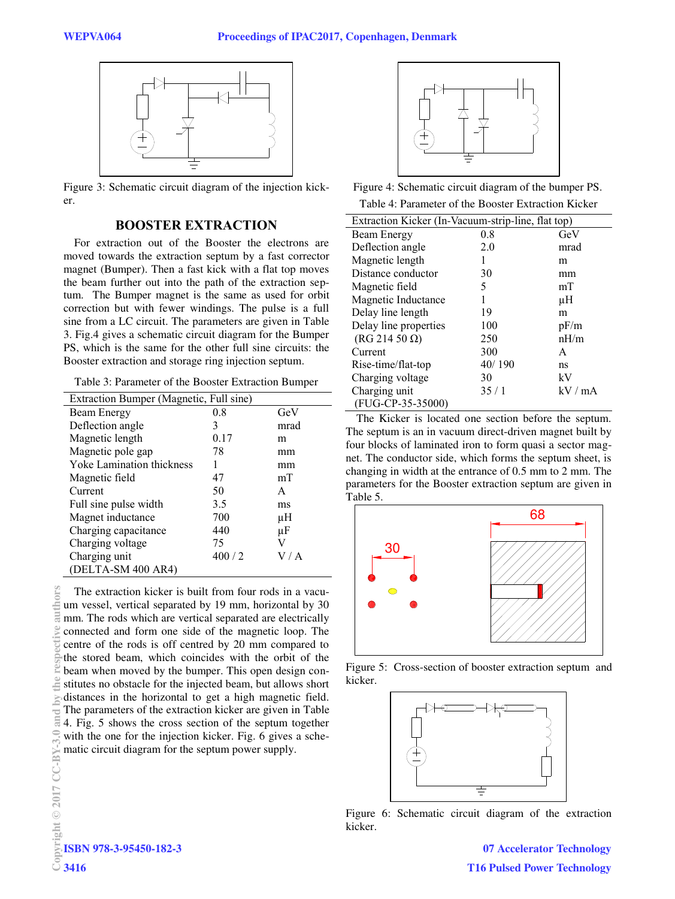

Figure 3: Schematic circuit diagram of the injection kicker.

# **BOOSTER EXTRACTION**

For extraction out of the Booster the electrons are moved towards the extraction septum by a fast corrector magnet (Bumper). Then a fast kick with a flat top moves the beam further out into the path of the extraction septum. The Bumper magnet is the same as used for orbit correction but with fewer windings. The pulse is a full sine from a LC circuit. The parameters are given in Table 3. Fig.4 gives a schematic circuit diagram for the Bumper PS, which is the same for the other full sine circuits: the Booster extraction and storage ring injection septum.

Table 3: Parameter of the Booster Extraction Bumper

| Extraction Bumper (Magnetic, Full sine) |       |      |
|-----------------------------------------|-------|------|
| Beam Energy                             | 0.8   | GeV  |
| Deflection angle                        | 3     | mrad |
| Magnetic length                         | 0.17  | m    |
| Magnetic pole gap                       | 78    | mm   |
| Yoke Lamination thickness               | 1     | mm   |
| Magnetic field                          | 47    | mT   |
| Current                                 | 50    | A    |
| Full sine pulse width                   | 3.5   | ms   |
| Magnet inductance                       | 700   | μH   |
| Charging capacitance                    | 440   | μF   |
| Charging voltage                        | 75    | V    |
| Charging unit                           | 400/2 | V/A  |
| (DELTA-SM 400 AR4)                      |       |      |

The extraction kicker is built from four rods in a vacuum vessel, vertical separated by 19 mm, horizontal by 30 mm. The rods which are vertical separated are electrically connected and form one side of the magnetic loop. The centre of the rods is off centred by 20 mm compared to the stored beam, which coincides with the orbit of the beam when moved by the bumper. This open design constitutes no obstacle for the injected beam, but allows short distances in the horizontal to get a high magnetic field. The parameters of the extraction kicker are given in Table 4. Fig. 5 shows the cross section of the septum together with the one for the injection kicker. Fig. 6 gives a schematic circuit diagram for the septum power supply.



Figure 4: Schematic circuit diagram of the bumper PS. Table 4: Parameter of the Booster Extraction Kicker

| Extraction Kicker (In-Vacuum-strip-line, flat top) |        |       |
|----------------------------------------------------|--------|-------|
| Beam Energy                                        | 0.8    | GeV   |
| Deflection angle                                   | 2.0    | mrad  |
| Magnetic length                                    |        | m     |
| Distance conductor                                 | 30     | mm    |
| Magnetic field                                     | 5      | mT    |
| Magnetic Inductance                                |        | uН    |
| Delay line length                                  | 19     | m     |
| Delay line properties                              | 100    | pF/m  |
| $(RG 214 50 \Omega)$                               | 250    | nH/m  |
| Current                                            | 300    | A     |
| Rise-time/flat-top                                 | 40/190 | ns    |
| Charging voltage                                   | 30     | kV    |
| Charging unit                                      | 35/1   | kV/mA |
| (FUG-CP-35-35000)                                  |        |       |

The Kicker is located one section before the septum. The septum is an in vacuum direct-driven magnet built by four blocks of laminated iron to form quasi a sector magnet. The conductor side, which forms the septum sheet, is changing in width at the entrance of 0.5 mm to 2 mm. The parameters for the Booster extraction septum are given in Table 5.



Figure 5: Cross-section of booster extraction septum and kicker.



Figure 6: Schematic circuit diagram of the extraction kicker.

**07 Accelerator Technology T16 Pulsed Power Technology**